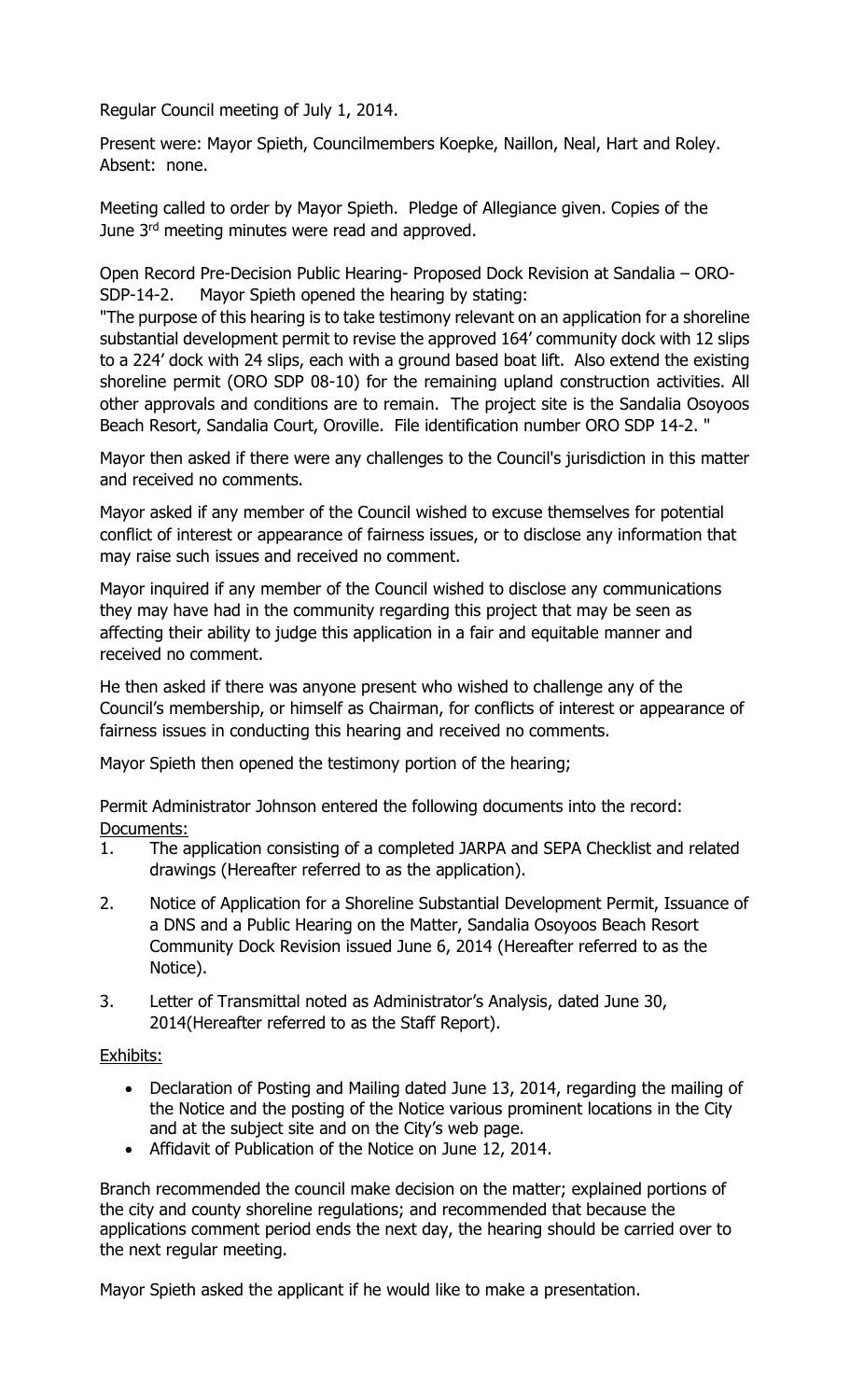Regular Council meeting of July 1, 2014.

Present were: Mayor Spieth, Councilmembers Koepke, Naillon, Neal, Hart and Roley. Absent: none.

Meeting called to order by Mayor Spieth. Pledge of Allegiance given. Copies of the June 3<sup>rd</sup> meeting minutes were read and approved.

Open Record Pre-Decision Public Hearing- Proposed Dock Revision at Sandalia – ORO-SDP-14-2. Mayor Spieth opened the hearing by stating:

"The purpose of this hearing is to take testimony relevant on an application for a shoreline substantial development permit to revise the approved 164' community dock with 12 slips to a 224' dock with 24 slips, each with a ground based boat lift. Also extend the existing shoreline permit (ORO SDP 08-10) for the remaining upland construction activities. All other approvals and conditions are to remain. The project site is the Sandalia Osoyoos Beach Resort, Sandalia Court, Oroville. File identification number ORO SDP 14-2. "

Mayor then asked if there were any challenges to the Council's jurisdiction in this matter and received no comments.

Mayor asked if any member of the Council wished to excuse themselves for potential conflict of interest or appearance of fairness issues, or to disclose any information that may raise such issues and received no comment.

Mayor inquired if any member of the Council wished to disclose any communications they may have had in the community regarding this project that may be seen as affecting their ability to judge this application in a fair and equitable manner and received no comment.

He then asked if there was anyone present who wished to challenge any of the Council's membership, or himself as Chairman, for conflicts of interest or appearance of fairness issues in conducting this hearing and received no comments.

Mayor Spieth then opened the testimony portion of the hearing;

Permit Administrator Johnson entered the following documents into the record: Documents:

- 1. The application consisting of a completed JARPA and SEPA Checklist and related drawings (Hereafter referred to as the application).
- 2. Notice of Application for a Shoreline Substantial Development Permit, Issuance of a DNS and a Public Hearing on the Matter, Sandalia Osoyoos Beach Resort Community Dock Revision issued June 6, 2014 (Hereafter referred to as the Notice).
- 3. Letter of Transmittal noted as Administrator's Analysis, dated June 30, 2014(Hereafter referred to as the Staff Report).

## Exhibits:

- Declaration of Posting and Mailing dated June 13, 2014, regarding the mailing of the Notice and the posting of the Notice various prominent locations in the City and at the subject site and on the City's web page.
- Affidavit of Publication of the Notice on June 12, 2014.

Branch recommended the council make decision on the matter; explained portions of the city and county shoreline regulations; and recommended that because the applications comment period ends the next day, the hearing should be carried over to the next regular meeting.

Mayor Spieth asked the applicant if he would like to make a presentation.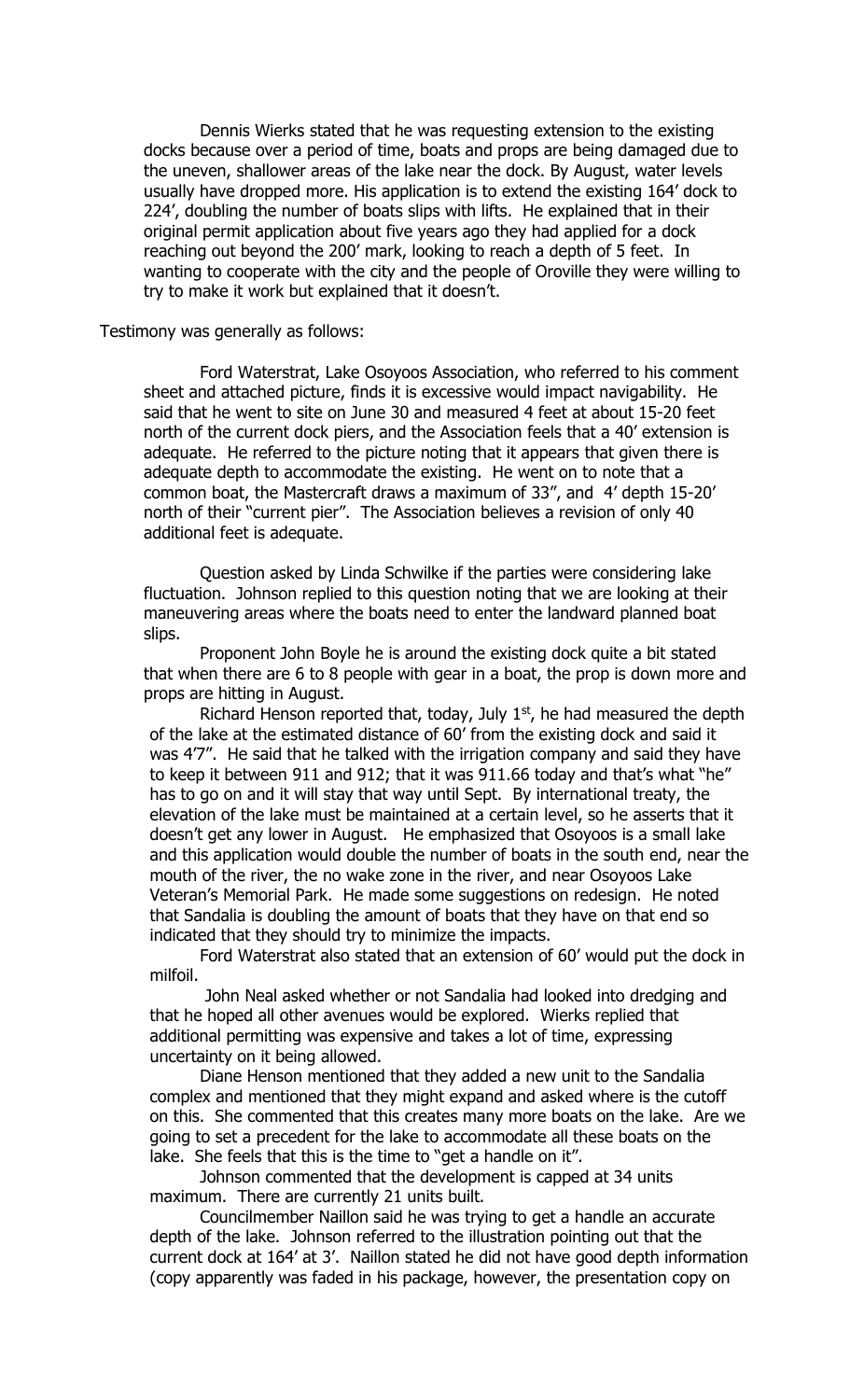Dennis Wierks stated that he was requesting extension to the existing docks because over a period of time, boats and props are being damaged due to the uneven, shallower areas of the lake near the dock. By August, water levels usually have dropped more. His application is to extend the existing 164' dock to 224', doubling the number of boats slips with lifts. He explained that in their original permit application about five years ago they had applied for a dock reaching out beyond the 200' mark, looking to reach a depth of 5 feet. In wanting to cooperate with the city and the people of Oroville they were willing to try to make it work but explained that it doesn't.

## Testimony was generally as follows:

Ford Waterstrat, Lake Osoyoos Association, who referred to his comment sheet and attached picture, finds it is excessive would impact navigability. He said that he went to site on June 30 and measured 4 feet at about 15-20 feet north of the current dock piers, and the Association feels that a 40' extension is adequate. He referred to the picture noting that it appears that given there is adequate depth to accommodate the existing. He went on to note that a common boat, the Mastercraft draws a maximum of 33", and 4' depth 15-20' north of their "current pier". The Association believes a revision of only 40 additional feet is adequate.

Question asked by Linda Schwilke if the parties were considering lake fluctuation. Johnson replied to this question noting that we are looking at their maneuvering areas where the boats need to enter the landward planned boat slips.

Proponent John Boyle he is around the existing dock quite a bit stated that when there are 6 to 8 people with gear in a boat, the prop is down more and props are hitting in August.

Richard Henson reported that, today, July  $1<sup>st</sup>$ , he had measured the depth of the lake at the estimated distance of 60' from the existing dock and said it was 4'7". He said that he talked with the irrigation company and said they have to keep it between 911 and 912; that it was 911.66 today and that's what "he" has to go on and it will stay that way until Sept. By international treaty, the elevation of the lake must be maintained at a certain level, so he asserts that it doesn't get any lower in August. He emphasized that Osoyoos is a small lake and this application would double the number of boats in the south end, near the mouth of the river, the no wake zone in the river, and near Osoyoos Lake Veteran's Memorial Park. He made some suggestions on redesign. He noted that Sandalia is doubling the amount of boats that they have on that end so indicated that they should try to minimize the impacts.

Ford Waterstrat also stated that an extension of 60' would put the dock in milfoil.

John Neal asked whether or not Sandalia had looked into dredging and that he hoped all other avenues would be explored. Wierks replied that additional permitting was expensive and takes a lot of time, expressing uncertainty on it being allowed.

Diane Henson mentioned that they added a new unit to the Sandalia complex and mentioned that they might expand and asked where is the cutoff on this. She commented that this creates many more boats on the lake. Are we going to set a precedent for the lake to accommodate all these boats on the lake. She feels that this is the time to "get a handle on it".

Johnson commented that the development is capped at 34 units maximum. There are currently 21 units built.

Councilmember Naillon said he was trying to get a handle an accurate depth of the lake. Johnson referred to the illustration pointing out that the current dock at 164' at 3'. Naillon stated he did not have good depth information (copy apparently was faded in his package, however, the presentation copy on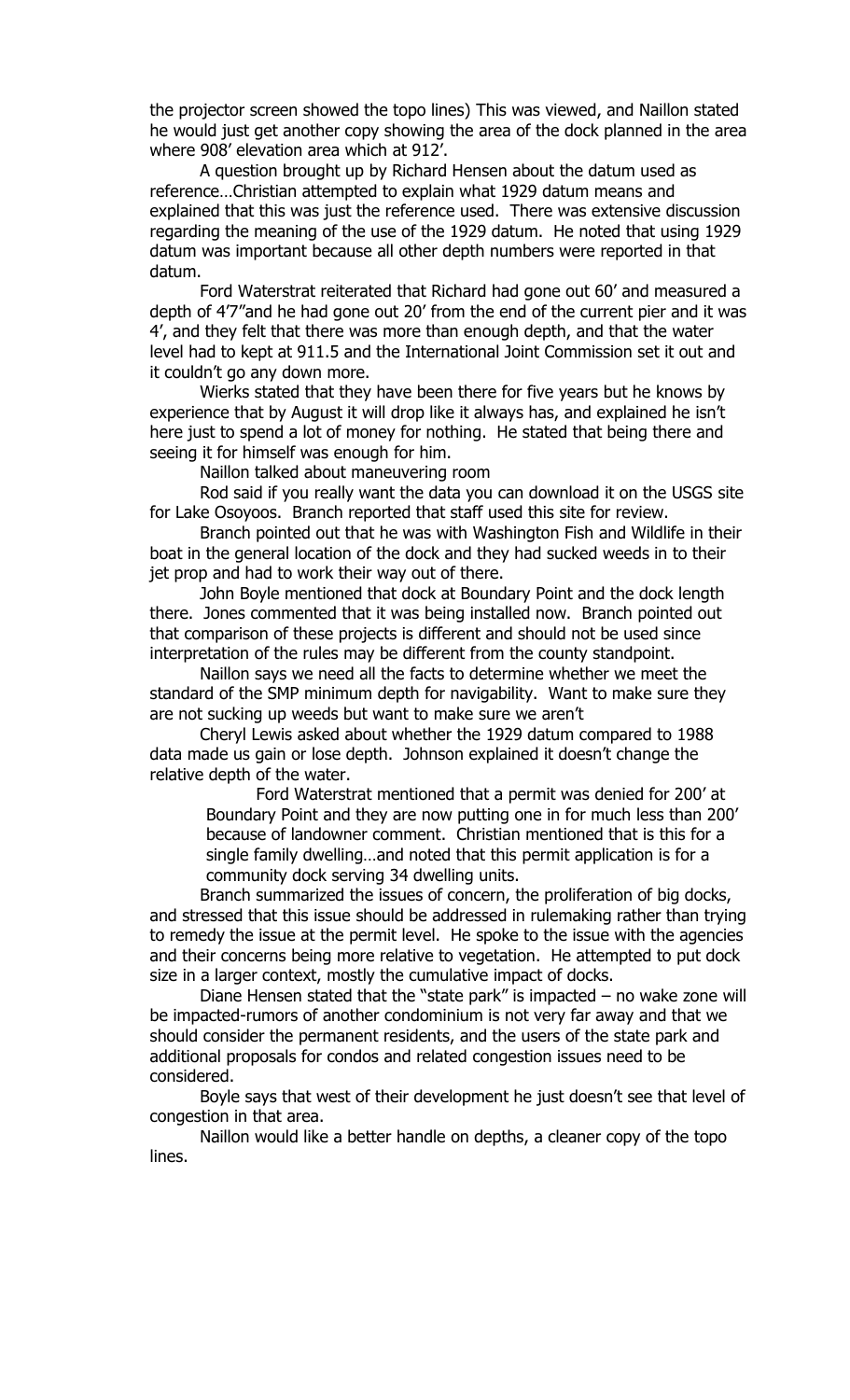the projector screen showed the topo lines) This was viewed, and Naillon stated he would just get another copy showing the area of the dock planned in the area where 908' elevation area which at 912'.

A question brought up by Richard Hensen about the datum used as reference…Christian attempted to explain what 1929 datum means and explained that this was just the reference used. There was extensive discussion regarding the meaning of the use of the 1929 datum. He noted that using 1929 datum was important because all other depth numbers were reported in that datum.

Ford Waterstrat reiterated that Richard had gone out 60' and measured a depth of 4'7"and he had gone out 20' from the end of the current pier and it was 4', and they felt that there was more than enough depth, and that the water level had to kept at 911.5 and the International Joint Commission set it out and it couldn't go any down more.

Wierks stated that they have been there for five years but he knows by experience that by August it will drop like it always has, and explained he isn't here just to spend a lot of money for nothing. He stated that being there and seeing it for himself was enough for him.

Naillon talked about maneuvering room

Rod said if you really want the data you can download it on the USGS site for Lake Osoyoos. Branch reported that staff used this site for review.

Branch pointed out that he was with Washington Fish and Wildlife in their boat in the general location of the dock and they had sucked weeds in to their jet prop and had to work their way out of there.

John Boyle mentioned that dock at Boundary Point and the dock length there. Jones commented that it was being installed now. Branch pointed out that comparison of these projects is different and should not be used since interpretation of the rules may be different from the county standpoint.

Naillon says we need all the facts to determine whether we meet the standard of the SMP minimum depth for navigability. Want to make sure they are not sucking up weeds but want to make sure we aren't

Cheryl Lewis asked about whether the 1929 datum compared to 1988 data made us gain or lose depth. Johnson explained it doesn't change the relative depth of the water.

Ford Waterstrat mentioned that a permit was denied for 200' at Boundary Point and they are now putting one in for much less than 200' because of landowner comment. Christian mentioned that is this for a single family dwelling…and noted that this permit application is for a community dock serving 34 dwelling units.

Branch summarized the issues of concern, the proliferation of big docks, and stressed that this issue should be addressed in rulemaking rather than trying to remedy the issue at the permit level. He spoke to the issue with the agencies and their concerns being more relative to vegetation. He attempted to put dock size in a larger context, mostly the cumulative impact of docks.

Diane Hensen stated that the "state park" is impacted  $-$  no wake zone will be impacted-rumors of another condominium is not very far away and that we should consider the permanent residents, and the users of the state park and additional proposals for condos and related congestion issues need to be considered.

Boyle says that west of their development he just doesn't see that level of congestion in that area.

Naillon would like a better handle on depths, a cleaner copy of the topo lines.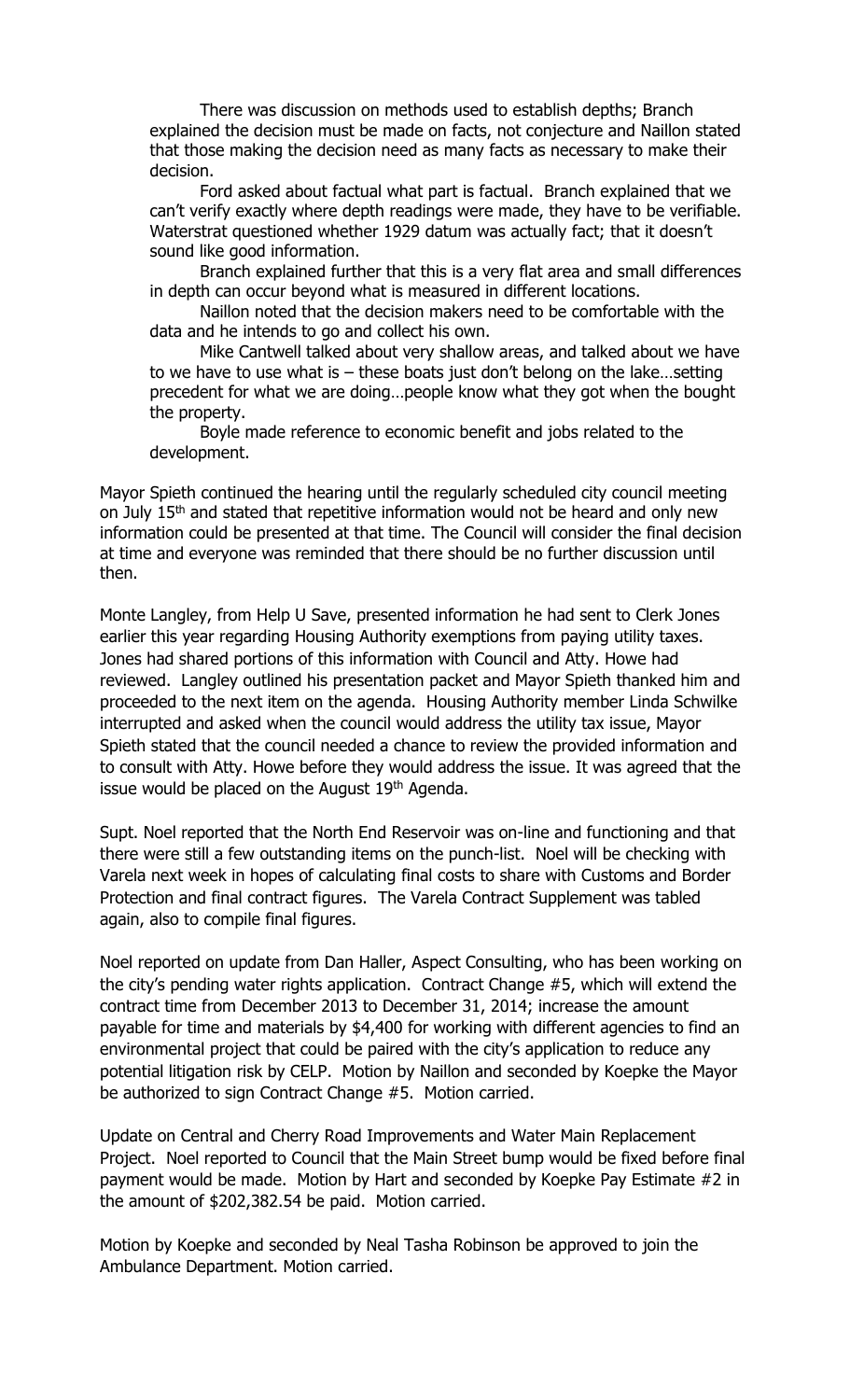There was discussion on methods used to establish depths; Branch explained the decision must be made on facts, not conjecture and Naillon stated that those making the decision need as many facts as necessary to make their decision.

Ford asked about factual what part is factual. Branch explained that we can't verify exactly where depth readings were made, they have to be verifiable. Waterstrat questioned whether 1929 datum was actually fact; that it doesn't sound like good information.

Branch explained further that this is a very flat area and small differences in depth can occur beyond what is measured in different locations.

Naillon noted that the decision makers need to be comfortable with the data and he intends to go and collect his own.

Mike Cantwell talked about very shallow areas, and talked about we have to we have to use what is – these boats just don't belong on the lake…setting precedent for what we are doing…people know what they got when the bought the property.

Boyle made reference to economic benefit and jobs related to the development.

Mayor Spieth continued the hearing until the regularly scheduled city council meeting on July 15<sup>th</sup> and stated that repetitive information would not be heard and only new information could be presented at that time. The Council will consider the final decision at time and everyone was reminded that there should be no further discussion until then.

Monte Langley, from Help U Save, presented information he had sent to Clerk Jones earlier this year regarding Housing Authority exemptions from paying utility taxes. Jones had shared portions of this information with Council and Atty. Howe had reviewed. Langley outlined his presentation packet and Mayor Spieth thanked him and proceeded to the next item on the agenda. Housing Authority member Linda Schwilke interrupted and asked when the council would address the utility tax issue, Mayor Spieth stated that the council needed a chance to review the provided information and to consult with Atty. Howe before they would address the issue. It was agreed that the issue would be placed on the August 19<sup>th</sup> Agenda.

Supt. Noel reported that the North End Reservoir was on-line and functioning and that there were still a few outstanding items on the punch-list. Noel will be checking with Varela next week in hopes of calculating final costs to share with Customs and Border Protection and final contract figures. The Varela Contract Supplement was tabled again, also to compile final figures.

Noel reported on update from Dan Haller, Aspect Consulting, who has been working on the city's pending water rights application. Contract Change #5, which will extend the contract time from December 2013 to December 31, 2014; increase the amount payable for time and materials by \$4,400 for working with different agencies to find an environmental project that could be paired with the city's application to reduce any potential litigation risk by CELP. Motion by Naillon and seconded by Koepke the Mayor be authorized to sign Contract Change #5. Motion carried.

Update on Central and Cherry Road Improvements and Water Main Replacement Project. Noel reported to Council that the Main Street bump would be fixed before final payment would be made. Motion by Hart and seconded by Koepke Pay Estimate #2 in the amount of \$202,382.54 be paid. Motion carried.

Motion by Koepke and seconded by Neal Tasha Robinson be approved to join the Ambulance Department. Motion carried.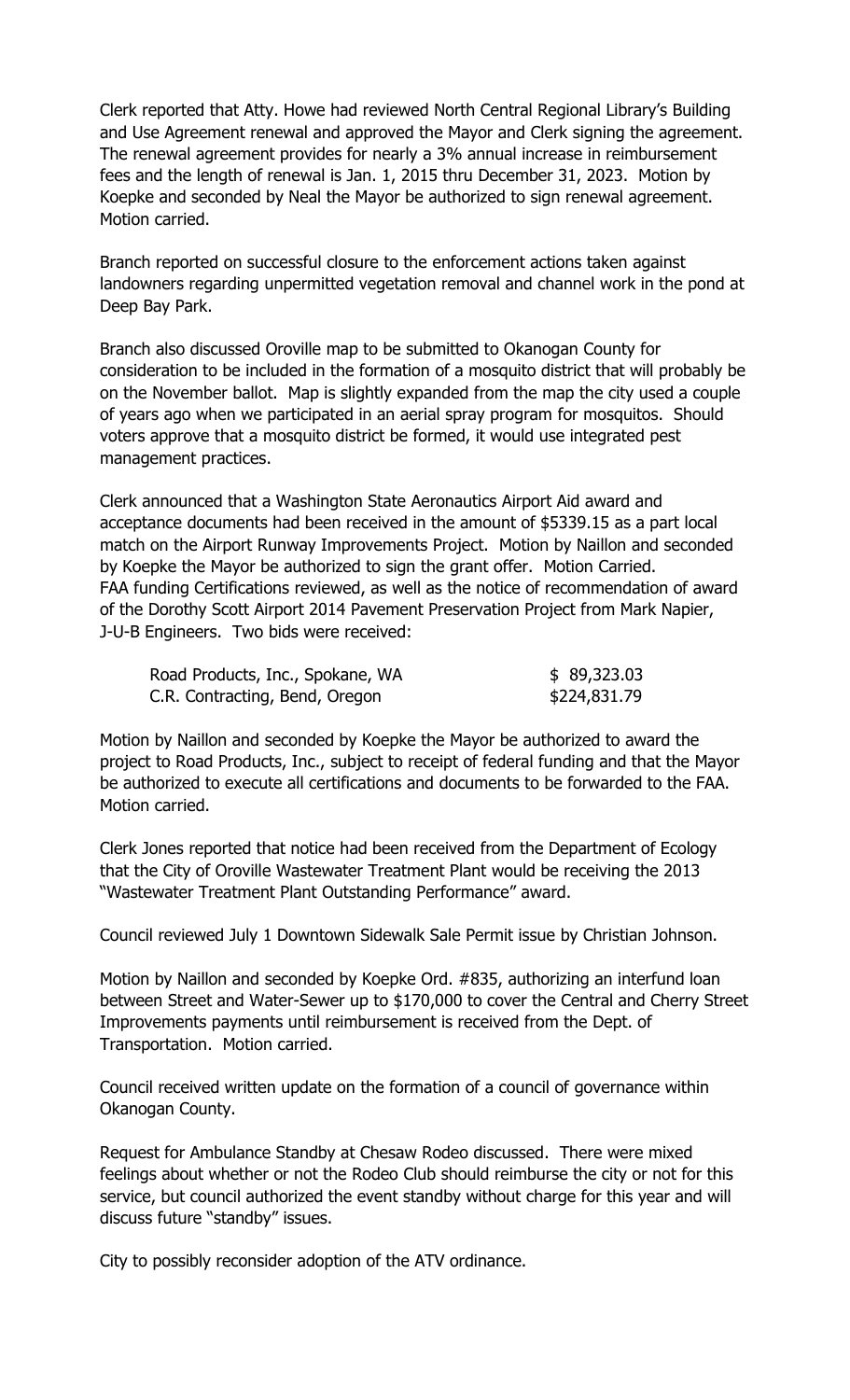Clerk reported that Atty. Howe had reviewed North Central Regional Library's Building and Use Agreement renewal and approved the Mayor and Clerk signing the agreement. The renewal agreement provides for nearly a 3% annual increase in reimbursement fees and the length of renewal is Jan. 1, 2015 thru December 31, 2023. Motion by Koepke and seconded by Neal the Mayor be authorized to sign renewal agreement. Motion carried.

Branch reported on successful closure to the enforcement actions taken against landowners regarding unpermitted vegetation removal and channel work in the pond at Deep Bay Park.

Branch also discussed Oroville map to be submitted to Okanogan County for consideration to be included in the formation of a mosquito district that will probably be on the November ballot. Map is slightly expanded from the map the city used a couple of years ago when we participated in an aerial spray program for mosquitos. Should voters approve that a mosquito district be formed, it would use integrated pest management practices.

Clerk announced that a Washington State Aeronautics Airport Aid award and acceptance documents had been received in the amount of \$5339.15 as a part local match on the Airport Runway Improvements Project. Motion by Naillon and seconded by Koepke the Mayor be authorized to sign the grant offer. Motion Carried. FAA funding Certifications reviewed, as well as the notice of recommendation of award of the Dorothy Scott Airport 2014 Pavement Preservation Project from Mark Napier, J-U-B Engineers. Two bids were received:

| Road Products, Inc., Spokane, WA | \$89,323.03  |
|----------------------------------|--------------|
| C.R. Contracting, Bend, Oregon   | \$224,831.79 |

Motion by Naillon and seconded by Koepke the Mayor be authorized to award the project to Road Products, Inc., subject to receipt of federal funding and that the Mayor be authorized to execute all certifications and documents to be forwarded to the FAA. Motion carried.

Clerk Jones reported that notice had been received from the Department of Ecology that the City of Oroville Wastewater Treatment Plant would be receiving the 2013 "Wastewater Treatment Plant Outstanding Performance" award.

Council reviewed July 1 Downtown Sidewalk Sale Permit issue by Christian Johnson.

Motion by Naillon and seconded by Koepke Ord. #835, authorizing an interfund loan between Street and Water-Sewer up to \$170,000 to cover the Central and Cherry Street Improvements payments until reimbursement is received from the Dept. of Transportation. Motion carried.

Council received written update on the formation of a council of governance within Okanogan County.

Request for Ambulance Standby at Chesaw Rodeo discussed. There were mixed feelings about whether or not the Rodeo Club should reimburse the city or not for this service, but council authorized the event standby without charge for this year and will discuss future "standby" issues.

City to possibly reconsider adoption of the ATV ordinance.